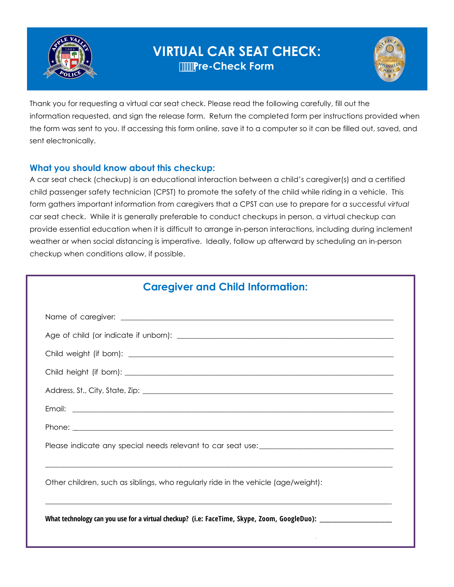

# **VIRTUAL CAR SEAT CHECK: Pre-Check Form**



Thank you for requesting a virtual car seat check. Please read the following carefully, fill out the information requested, and sign the release form. Return the completed form per instructions provided when the form was sent to you. If accessing this form online, save it to a computer so it can be filled out, saved, and sent electronically.

## **What you should know about this checkup:**

A car seat check (checkup) is an educational interaction between a child's caregiver(s) and a certified child passenger safety technician (CPST) to promote the safety of the child while riding in a vehicle. This form gathers important information from caregivers that a CPST can use to prepare for a successful *virtual* car seat check. While it is generally preferable to conduct checkups in person, a virtual checkup can provide essential education when it is difficult to arrange in-person interactions, including during inclement weather or when social distancing is imperative. Ideally, follow up afterward by scheduling an in-person checkup when conditions allow, if possible.

| <b>Caregiver and Child Information:</b>                                                                        |  |  |
|----------------------------------------------------------------------------------------------------------------|--|--|
|                                                                                                                |  |  |
|                                                                                                                |  |  |
|                                                                                                                |  |  |
|                                                                                                                |  |  |
|                                                                                                                |  |  |
|                                                                                                                |  |  |
|                                                                                                                |  |  |
|                                                                                                                |  |  |
| Other children, such as siblings, who regularly ride in the vehicle (age/weight):                              |  |  |
| What technology can you use for a virtual checkup? (i.e: FaceTime, Skype, Zoom, GoogleDuo): __________________ |  |  |